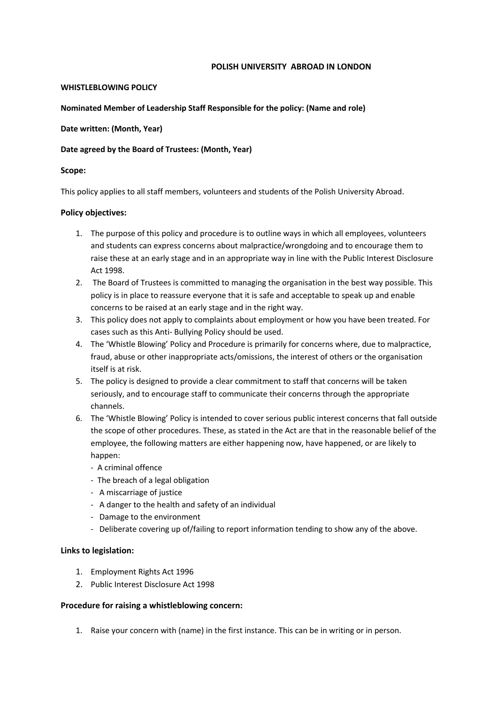#### **POLISH UNIVERSITY ABROAD IN LONDON**

## **WHISTLEBLOWING POLICY**

#### **Nominated Member of Leadership Staff Responsible for the policy: (Name and role)**

## **Date written: (Month, Year)**

## **Date agreed by the Board of Trustees: (Month, Year)**

## **Scope:**

This policy applies to all staff members, volunteers and students of the Polish University Abroad.

#### **Policy objectives:**

- 1. The purpose of this policy and procedure is to outline ways in which all employees, volunteers and students can express concerns about malpractice/wrongdoing and to encourage them to raise these at an early stage and in an appropriate way in line with the Public Interest Disclosure Act 1998.
- 2. The Board of Trustees is committed to managing the organisation in the best way possible. This policy is in place to reassure everyone that it is safe and acceptable to speak up and enable concerns to be raised at an early stage and in the right way.
- 3. This policy does not apply to complaints about employment or how you have been treated. For cases such as this Anti- Bullying Policy should be used.
- 4. The 'Whistle Blowing' Policy and Procedure is primarily for concerns where, due to malpractice, fraud, abuse or other inappropriate acts/omissions, the interest of others or the organisation itself is at risk.
- 5. The policy is designed to provide a clear commitment to staff that concerns will be taken seriously, and to encourage staff to communicate their concerns through the appropriate channels.
- 6. The 'Whistle Blowing' Policy is intended to cover serious public interest concerns that fall outside the scope of other procedures. These, as stated in the Act are that in the reasonable belief of the employee, the following matters are either happening now, have happened, or are likely to happen:
	- A criminal offence
	- The breach of a legal obligation
	- A miscarriage of justice
	- A danger to the health and safety of an individual
	- Damage to the environment
	- Deliberate covering up of/failing to report information tending to show any of the above.

# **Links to legislation:**

- 1. Employment Rights Act 1996
- 2. Public Interest Disclosure Act 1998

# **Procedure for raising a whistleblowing concern:**

1. Raise your concern with (name) in the first instance. This can be in writing or in person.